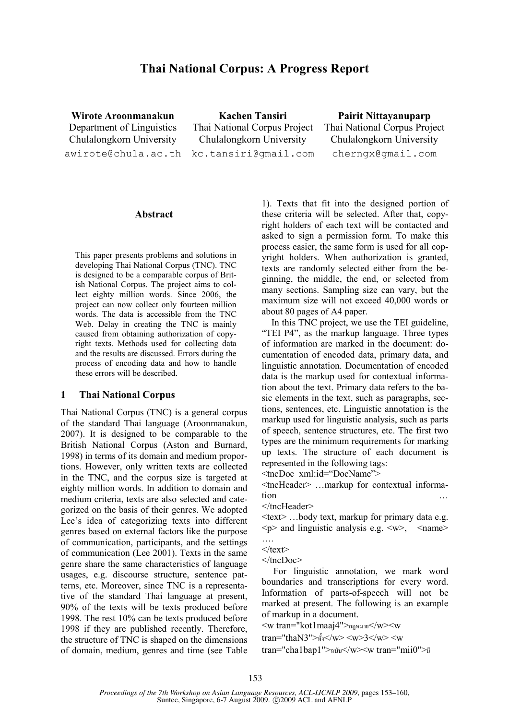# Thai National Corpus: A Progress Report

Wirote Aroonmanakun Department of Linguistics Chulalongkorn University awirote@chula.ac.th

Kachen Tansiri Thai National Corpus Project Chulalongkorn University kc.tansiri@gmail.com

Pairit Nittayanuparp Thai National Corpus Project Chulalongkorn University cherngx@gmail.com

#### Abstract

This paper presents problems and solutions in developing Thai National Corpus (TNC). TNC is designed to be a comparable corpus of British National Corpus. The project aims to collect eighty million words. Since 2006, the project can now collect only fourteen million words. The data is accessible from the TNC Web. Delay in creating the TNC is mainly caused from obtaining authorization of copyright texts. Methods used for collecting data and the results are discussed. Errors during the process of encoding data and how to handle these errors will be described.

#### 1 Thai National Corpus

Thai National Corpus (TNC) is a general corpus of the standard Thai language (Aroonmanakun, 2007). It is designed to be comparable to the British National Corpus (Aston and Burnard, 1998) in terms of its domain and medium proportions. However, only written texts are collected in the TNC, and the corpus size is targeted at eighty million words. In addition to domain and medium criteria, texts are also selected and categorized on the basis of their genres. We adopted Lee's idea of categorizing texts into different genres based on external factors like the purpose of communication, participants, and the settings of communication (Lee 2001). Texts in the same genre share the same characteristics of language usages, e.g. discourse structure, sentence patterns, etc. Moreover, since TNC is a representative of the standard Thai language at present, 90% of the texts will be texts produced before 1998. The rest 10% can be texts produced before 1998 if they are published recently. Therefore, the structure of TNC is shaped on the dimensions of domain, medium, genres and time (see Table

1). Texts that fit into the designed portion of these criteria will be selected. After that, copyright holders of each text will be contacted and asked to sign a permission form. To make this process easier, the same form is used for all copyright holders. When authorization is granted, texts are randomly selected either from the beginning, the middle, the end, or selected from many sections. Sampling size can vary, but the maximum size will not exceed 40,000 words or about 80 pages of A4 paper.

In this TNC project, we use the TEI guideline, "TEI P4", as the markup language. Three types of information are marked in the document: documentation of encoded data, primary data, and linguistic annotation. Documentation of encoded data is the markup used for contextual information about the text. Primary data refers to the basic elements in the text, such as paragraphs, sections, sentences, etc. Linguistic annotation is the markup used for linguistic analysis, such as parts of speech, sentence structures, etc. The first two types are the minimum requirements for marking up texts. The structure of each document is represented in the following tags:

<tncDoc xml:id="DocName">

<tncHeader> …markup for contextual information …

```
</tncHeader>
```
<text> …body text, markup for primary data e.g.  $\langle p \rangle$  and linguistic analysis e.g.  $\langle w \rangle$ ,  $\langle n$ ame

For linguistic annotation, we mark word boundaries and transcriptions for every word. Information of parts-of-speech will not be marked at present. The following is an example of markup in a document.

 $\leq$ w tran="kot1maaj4">กฎหมาย $\leq$ /w> $\leq$ w

tran="thaN3"> $\frac{3}{10}$ </w> <w>3</w> <w

tran="cha1bap1">n  $y \ll w$  tran="mii0"> $\frac{1}{w}$ 

<sup>….</sup>   $\langle$ text $\rangle$ 

<sup>&</sup>lt;/tncDoc>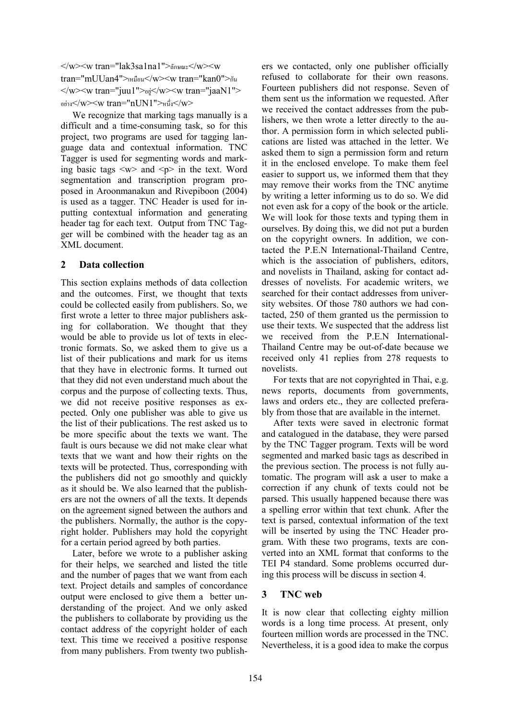$\langle w \rangle \langle w \rangle \langle w \rangle$  tran="lak3sa1na1">ลักษณะ $\langle w \rangle \langle w \rangle \langle w \rangle$ tran="mUUan4">เหมือน</w><w tran="kan0">กัน  $\langle w \rangle \langle w \rangle$  tran="juu1"> $\frac{1}{2}$ y> $\langle w \rangle \langle w \rangle$  tran="jaaN1"> อย่าง</w><w tran="nUN1">หนึ่ง</w>

We recognize that marking tags manually is a difficult and a time-consuming task, so for this project, two programs are used for tagging language data and contextual information. TNC Tagger is used for segmenting words and marking basic tags  $\langle w \rangle$  and  $\langle p \rangle$  in the text. Word segmentation and transcription program proposed in Aroonmanakun and Rivepiboon (2004) is used as a tagger. TNC Header is used for inputting contextual information and generating header tag for each text. Output from TNC Tagger will be combined with the header tag as an XML document.

## 2 Data collection

This section explains methods of data collection and the outcomes. First, we thought that texts could be collected easily from publishers. So, we first wrote a letter to three major publishers asking for collaboration. We thought that they would be able to provide us lot of texts in electronic formats. So, we asked them to give us a list of their publications and mark for us items that they have in electronic forms. It turned out that they did not even understand much about the corpus and the purpose of collecting texts. Thus, we did not receive positive responses as expected. Only one publisher was able to give us the list of their publications. The rest asked us to be more specific about the texts we want. The fault is ours because we did not make clear what texts that we want and how their rights on the texts will be protected. Thus, corresponding with the publishers did not go smoothly and quickly as it should be. We also learned that the publishers are not the owners of all the texts. It depends on the agreement signed between the authors and the publishers. Normally, the author is the copyright holder. Publishers may hold the copyright for a certain period agreed by both parties.

Later, before we wrote to a publisher asking for their helps, we searched and listed the title and the number of pages that we want from each text. Project details and samples of concordance output were enclosed to give them a better understanding of the project. And we only asked the publishers to collaborate by providing us the contact address of the copyright holder of each text. This time we received a positive response from many publishers. From twenty two publishers we contacted, only one publisher officially refused to collaborate for their own reasons. Fourteen publishers did not response. Seven of them sent us the information we requested. After we received the contact addresses from the publishers, we then wrote a letter directly to the author. A permission form in which selected publications are listed was attached in the letter. We asked them to sign a permission form and return it in the enclosed envelope. To make them feel easier to support us, we informed them that they may remove their works from the TNC anytime by writing a letter informing us to do so. We did not even ask for a copy of the book or the article. We will look for those texts and typing them in ourselves. By doing this, we did not put a burden on the copyright owners. In addition, we contacted the P.E.N International-Thailand Centre, which is the association of publishers, editors, and novelists in Thailand, asking for contact addresses of novelists. For academic writers, we searched for their contact addresses from university websites. Of those 780 authors we had contacted, 250 of them granted us the permission to use their texts. We suspected that the address list we received from the P.E.N International-Thailand Centre may be out-of-date because we received only 41 replies from 278 requests to novelists.

For texts that are not copyrighted in Thai, e.g. news reports, documents from governments, laws and orders etc., they are collected preferably from those that are available in the internet.

After texts were saved in electronic format and catalogued in the database, they were parsed by the TNC Tagger program. Texts will be word segmented and marked basic tags as described in the previous section. The process is not fully automatic. The program will ask a user to make a correction if any chunk of texts could not be parsed. This usually happened because there was a spelling error within that text chunk. After the text is parsed, contextual information of the text will be inserted by using the TNC Header program. With these two programs, texts are converted into an XML format that conforms to the TEI P4 standard. Some problems occurred during this process will be discuss in section 4.

#### 3 TNC web

It is now clear that collecting eighty million words is a long time process. At present, only fourteen million words are processed in the TNC. Nevertheless, it is a good idea to make the corpus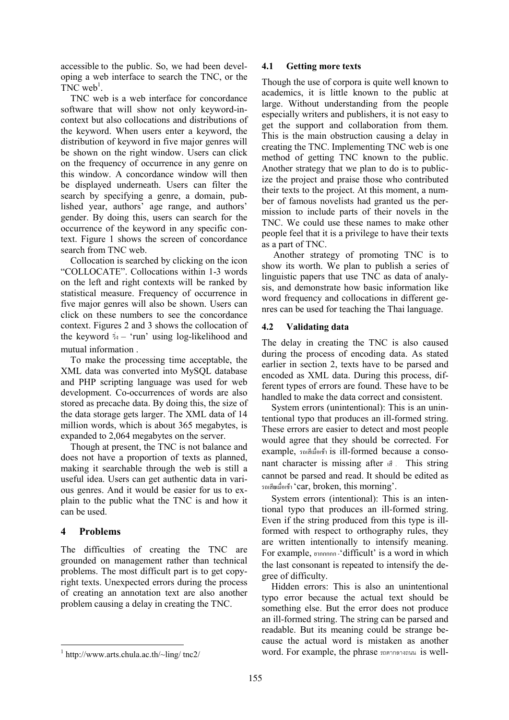accessible to the public. So, we had been developing a web interface to search the TNC, or the TNC web<sup>1</sup>.

TNC web is a web interface for concordance software that will show not only keyword-incontext but also collocations and distributions of the keyword. When users enter a keyword, the distribution of keyword in five major genres will be shown on the right window. Users can click on the frequency of occurrence in any genre on this window. A concordance window will then be displayed underneath. Users can filter the search by specifying a genre, a domain, published year, authors' age range, and authors' gender. By doing this, users can search for the occurrence of the keyword in any specific context. Figure 1 shows the screen of concordance search from TNC web.

Collocation is searched by clicking on the icon "COLLOCATE". Collocations within 1-3 words on the left and right contexts will be ranked by statistical measure. Frequency of occurrence in five major genres will also be shown. Users can click on these numbers to see the concordance context. Figures 2 and 3 shows the collocation of the keyword  $\dot{\phi}$  – 'run' using log-likelihood and mutual information .

To make the processing time acceptable, the XML data was converted into MySQL database and PHP scripting language was used for web development. Co-occurrences of words are also stored as precache data. By doing this, the size of the data storage gets larger. The XML data of 14 million words, which is about 365 megabytes, is expanded to 2,064 megabytes on the server.

Though at present, the TNC is not balance and does not have a proportion of texts as planned, making it searchable through the web is still a useful idea. Users can get authentic data in various genres. And it would be easier for us to explain to the public what the TNC is and how it can be used.

# 4 Problems

The difficulties of creating the TNC are grounded on management rather than technical problems. The most difficult part is to get copyright texts. Unexpected errors during the process of creating an annotation text are also another problem causing a delay in creating the TNC.

#### 4.1 Getting more texts

Though the use of corpora is quite well known to academics, it is little known to the public at large. Without understanding from the people especially writers and publishers, it is not easy to get the support and collaboration from them. This is the main obstruction causing a delay in creating the TNC. Implementing TNC web is one method of getting TNC known to the public. Another strategy that we plan to do is to publicize the project and praise those who contributed their texts to the project. At this moment, a number of famous novelists had granted us the permission to include parts of their novels in the TNC. We could use these names to make other people feel that it is a privilege to have their texts as a part of TNC.

Another strategy of promoting TNC is to show its worth. We plan to publish a series of linguistic papers that use TNC as data of analysis, and demonstrate how basic information like word frequency and collocations in different genres can be used for teaching the Thai language.

## 4.2 Validating data

The delay in creating the TNC is also caused during the process of encoding data. As stated earlier in section 2, texts have to be parsed and encoded as XML data. During this process, different types of errors are found. These have to be handled to make the data correct and consistent.

System errors (unintentional): This is an unintentional typo that produces an ill-formed string. These errors are easier to detect and most people would agree that they should be corrected. For example,  $\frac{1}{2}$  and  $\frac{1}{2}$  is ill-formed because a consonant character is missing after  $\mathbb{R}$ . This string cannot be parsed and read. It should be edited as 'car, broken, this morning'.

System errors (intentional): This is an intentional typo that produces an ill-formed string. Even if the string produced from this type is illformed with respect to orthography rules, they are written intentionally to intensify meaning. For example, กกกกก -'difficult' is a word in which the last consonant is repeated to intensify the degree of difficulty.

Hidden errors: This is also an unintentional typo error because the actual text should be something else. But the error does not produce an ill-formed string. The string can be parsed and readable. But its meaning could be strange because the actual word is mistaken as another word. For example, the phrase  $n$ ตกาดางถนน is well-

 $\overline{a}$ 1 http://www.arts.chula.ac.th/~ling/ tnc2/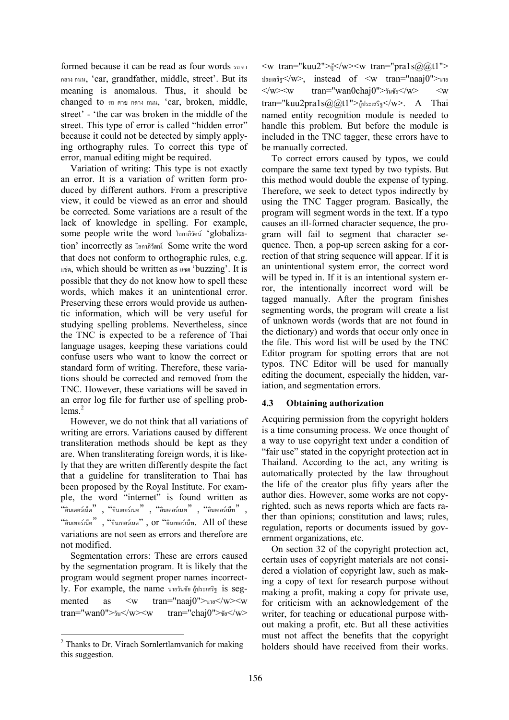formed because it can be read as four words  $\pi$ กลาง ถนน, 'car, grandfather, middle, street'. But its meaning is anomalous. Thus, it should be changed to  $n \sin n$  nans nuu, 'car, broken, middle, street' - 'the car was broken in the middle of the street. This type of error is called "hidden error" because it could not be detected by simply applying orthography rules. To correct this type of error, manual editing might be required.

Variation of writing: This type is not exactly an error. It is a variation of written form produced by different authors. From a prescriptive view, it could be viewed as an error and should be corrected. Some variations are a result of the lack of knowledge in spelling. For example, some people write the word โลกาภิวัตน์ 'globalization' incorrectly as โลกาภิวัฒน์. Some write the word that does not conform to orthographic rules, e.g.  $\mu_{\nu}$  which should be written as  $\mu_{\nu}$  'buzzing'. It is possible that they do not know how to spell these words, which makes it an unintentional error. Preserving these errors would provide us authentic information, which will be very useful for studying spelling problems. Nevertheless, since the TNC is expected to be a reference of Thai language usages, keeping these variations could confuse users who want to know the correct or standard form of writing. Therefore, these variations should be corrected and removed from the TNC. However, these variations will be saved in an error log file for further use of spelling prob $lems.<sup>2</sup>$ 

However, we do not think that all variations of writing are errors. Variations caused by different transliteration methods should be kept as they are. When transliterating foreign words, it is likely that they are written differently despite the fact that a guideline for transliteration to Thai has been proposed by the Royal Institute. For example, the word "internet" is found written as  $\lq\lq$ อินเตอร์เน็ต , "อินเตอร์เนต", "อินเตอร์ เป็น", "อินเตอร์เน็ท" , "%',"", "%'"" , or "%',. All of these variations are not seen as errors and therefore are not modified.

Segmentation errors: These are errors caused by the segmentation program. It is likely that the program would segment proper names incorrectly. For example, the name นายวันชัย กู้ประเสริฐ is segmented as  $\langle w \rangle$  tran="naaj0">unv $\langle w \rangle$ tran="wan0"> $\frac{1}{2}$ "> $\frac{1}{2}$ "> $\frac{1}{2}$  tran="chaj0"> $\frac{1}{2}$ "> $\frac{1}{2}$ ">

 $\leq w$  tran="kuu2"> $\frac{1}{9}$ </w> $\leq w$  tran="pra1s $\frac{a}{a}$ (a)t1">  $v_{\text{total}}$  $v_{\text{total}}$  instead of  $\langle w \rangle$  tran="naaj0"> $v_{\text{total}}$  $\langle w \rangle \langle w \rangle = \langle w \rangle$  tran="wan0chaj0"> $\gamma w \langle w \rangle$   $\langle w \rangle$   $\langle w \rangle$ tran="kuu2pra1s@@t1">กู้ประเสริฐ</w>. A Thai named entity recognition module is needed to handle this problem. But before the module is included in the TNC tagger, these errors have to be manually corrected.

To correct errors caused by typos, we could compare the same text typed by two typists. But this method would double the expense of typing. Therefore, we seek to detect typos indirectly by using the TNC Tagger program. Basically, the program will segment words in the text. If a typo causes an ill-formed character sequence, the program will fail to segment that character sequence. Then, a pop-up screen asking for a correction of that string sequence will appear. If it is an unintentional system error, the correct word will be typed in. If it is an intentional system error, the intentionally incorrect word will be tagged manually. After the program finishes segmenting words, the program will create a list of unknown words (words that are not found in the dictionary) and words that occur only once in the file. This word list will be used by the TNC Editor program for spotting errors that are not typos. TNC Editor will be used for manually editing the document, especially the hidden, variation, and segmentation errors.

#### 4.3 Obtaining authorization

Acquiring permission from the copyright holders is a time consuming process. We once thought of a way to use copyright text under a condition of "fair use" stated in the copyright protection act in Thailand. According to the act, any writing is automatically protected by the law throughout the life of the creator plus fifty years after the author dies. However, some works are not copyrighted, such as news reports which are facts rather than opinions; constitution and laws; rules, regulation, reports or documents issued by government organizations, etc.

On section 32 of the copyright protection act, certain uses of copyright materials are not considered a violation of copyright law, such as making a copy of text for research purpose without making a profit, making a copy for private use, for criticism with an acknowledgement of the writer, for teaching or educational purpose without making a profit, etc. But all these activities must not affect the benefits that the copyright holders should have received from their works.

<sup>&</sup>lt;sup>2</sup> Thanks to Dr. Virach Sornlertlamvanich for making this suggestion.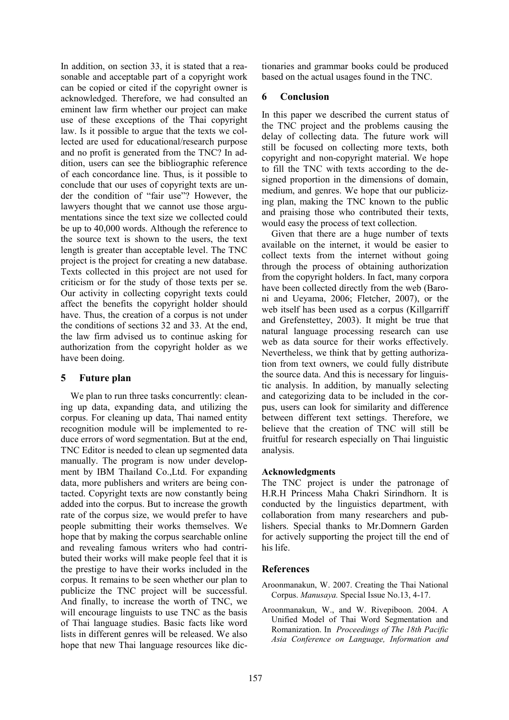In addition, on section 33, it is stated that a reasonable and acceptable part of a copyright work can be copied or cited if the copyright owner is acknowledged. Therefore, we had consulted an eminent law firm whether our project can make use of these exceptions of the Thai copyright law. Is it possible to argue that the texts we collected are used for educational/research purpose and no profit is generated from the TNC? In addition, users can see the bibliographic reference of each concordance line. Thus, is it possible to conclude that our uses of copyright texts are under the condition of "fair use"? However, the lawyers thought that we cannot use those argumentations since the text size we collected could be up to 40,000 words. Although the reference to the source text is shown to the users, the text length is greater than acceptable level. The TNC project is the project for creating a new database. Texts collected in this project are not used for criticism or for the study of those texts per se. Our activity in collecting copyright texts could affect the benefits the copyright holder should have. Thus, the creation of a corpus is not under the conditions of sections 32 and 33. At the end, the law firm advised us to continue asking for authorization from the copyright holder as we have been doing.

## 5 Future plan

We plan to run three tasks concurrently: cleaning up data, expanding data, and utilizing the corpus. For cleaning up data, Thai named entity recognition module will be implemented to reduce errors of word segmentation. But at the end, TNC Editor is needed to clean up segmented data manually. The program is now under development by IBM Thailand Co.,Ltd. For expanding data, more publishers and writers are being contacted. Copyright texts are now constantly being added into the corpus. But to increase the growth rate of the corpus size, we would prefer to have people submitting their works themselves. We hope that by making the corpus searchable online and revealing famous writers who had contributed their works will make people feel that it is the prestige to have their works included in the corpus. It remains to be seen whether our plan to publicize the TNC project will be successful. And finally, to increase the worth of TNC, we will encourage linguists to use TNC as the basis of Thai language studies. Basic facts like word lists in different genres will be released. We also hope that new Thai language resources like dictionaries and grammar books could be produced based on the actual usages found in the TNC.

# 6 Conclusion

In this paper we described the current status of the TNC project and the problems causing the delay of collecting data. The future work will still be focused on collecting more texts, both copyright and non-copyright material. We hope to fill the TNC with texts according to the designed proportion in the dimensions of domain, medium, and genres. We hope that our publicizing plan, making the TNC known to the public and praising those who contributed their texts, would easy the process of text collection.

Given that there are a huge number of texts available on the internet, it would be easier to collect texts from the internet without going through the process of obtaining authorization from the copyright holders. In fact, many corpora have been collected directly from the web (Baroni and Ueyama, 2006; Fletcher, 2007), or the web itself has been used as a corpus (Killgarriff and Grefenstettey, 2003). It might be true that natural language processing research can use web as data source for their works effectively. Nevertheless, we think that by getting authorization from text owners, we could fully distribute the source data. And this is necessary for linguistic analysis. In addition, by manually selecting and categorizing data to be included in the corpus, users can look for similarity and difference between different text settings. Therefore, we believe that the creation of TNC will still be fruitful for research especially on Thai linguistic analysis.

## Acknowledgments

The TNC project is under the patronage of H.R.H Princess Maha Chakri Sirindhorn. It is conducted by the linguistics department, with collaboration from many researchers and publishers. Special thanks to Mr.Domnern Garden for actively supporting the project till the end of his life.

## **References**

- Aroonmanakun, W. 2007. Creating the Thai National Corpus. Manusaya. Special Issue No.13, 4-17.
- Aroonmanakun, W., and W. Rivepiboon. 2004. A Unified Model of Thai Word Segmentation and Romanization. In Proceedings of The 18th Pacific Asia Conference on Language, Information and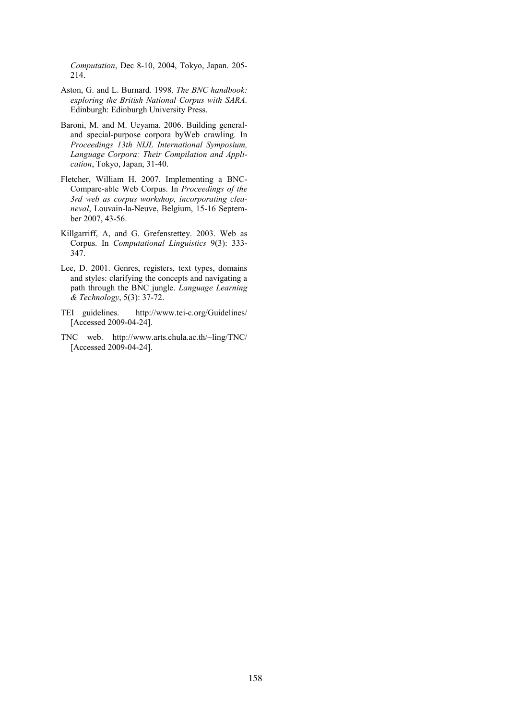Computation, Dec 8-10, 2004, Tokyo, Japan. 205- 214.

- Aston, G. and L. Burnard. 1998. The BNC handbook: exploring the British National Corpus with SARA. Edinburgh: Edinburgh University Press.
- Baroni, M. and M. Ueyama. 2006. Building generaland special-purpose corpora byWeb crawling. In Proceedings 13th NIJL International Symposium, Language Corpora: Their Compilation and Application, Tokyo, Japan, 31-40.
- Fletcher, William H. 2007. Implementing a BNC-Compare-able Web Corpus. In Proceedings of the 3rd web as corpus workshop, incorporating cleaneval, Louvain-la-Neuve, Belgium, 15-16 September 2007, 43-56.
- Killgarriff, A, and G. Grefenstettey. 2003. Web as Corpus. In Computational Linguistics 9(3): 333- 347.
- Lee, D. 2001. Genres, registers, text types, domains and styles: clarifying the concepts and navigating a path through the BNC jungle. Language Learning & Technology, 5(3): 37-72.
- TEI guidelines. http://www.tei-c.org/Guidelines/ [Accessed 2009-04-24].
- TNC web. http://www.arts.chula.ac.th/~ling/TNC/ [Accessed 2009-04-24].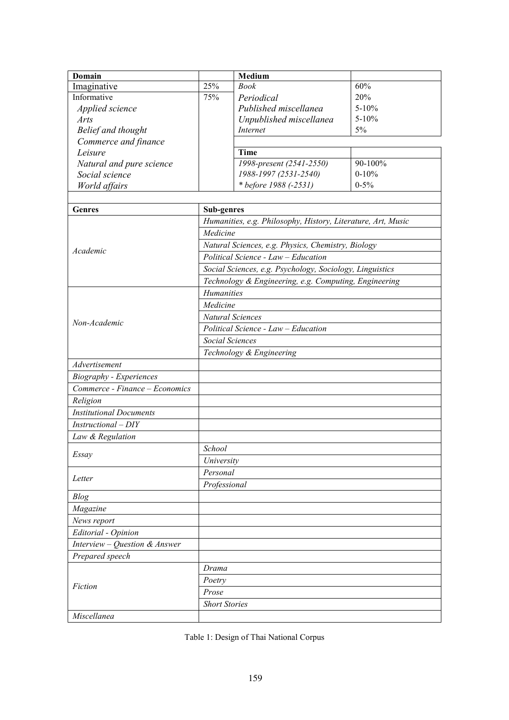| <b>Domain</b>                  |                                           | Medium                                                       |           |  |  |  |  |  |
|--------------------------------|-------------------------------------------|--------------------------------------------------------------|-----------|--|--|--|--|--|
| Imaginative                    | 25%                                       | <b>Book</b>                                                  | 60%       |  |  |  |  |  |
| Informative                    | 75%                                       | Periodical                                                   | 20%       |  |  |  |  |  |
| Applied science                |                                           | $5 - 10%$                                                    |           |  |  |  |  |  |
| Arts                           |                                           | $5 - 10%$                                                    |           |  |  |  |  |  |
| Belief and thought             | Unpublished miscellanea<br>5%<br>Internet |                                                              |           |  |  |  |  |  |
| Commerce and finance           |                                           |                                                              |           |  |  |  |  |  |
| Leisure                        |                                           | <b>Time</b>                                                  |           |  |  |  |  |  |
| Natural and pure science       |                                           | 1998-present (2541-2550)                                     | 90-100%   |  |  |  |  |  |
| Social science                 |                                           | 1988-1997 (2531-2540)                                        | $0 - 10%$ |  |  |  |  |  |
| World affairs                  |                                           | * before 1988 (-2531)                                        | $0 - 5\%$ |  |  |  |  |  |
|                                |                                           |                                                              |           |  |  |  |  |  |
| <b>Genres</b>                  | <b>Sub-genres</b>                         |                                                              |           |  |  |  |  |  |
|                                |                                           | Humanities, e.g. Philosophy, History, Literature, Art, Music |           |  |  |  |  |  |
|                                | Medicine                                  |                                                              |           |  |  |  |  |  |
|                                |                                           | Natural Sciences, e.g. Physics, Chemistry, Biology           |           |  |  |  |  |  |
| Academic                       |                                           | Political Science - Law - Education                          |           |  |  |  |  |  |
|                                |                                           | Social Sciences, e.g. Psychology, Sociology, Linguistics     |           |  |  |  |  |  |
|                                |                                           | Technology & Engineering, e.g. Computing, Engineering        |           |  |  |  |  |  |
|                                | <b>Humanities</b>                         |                                                              |           |  |  |  |  |  |
|                                | Medicine                                  |                                                              |           |  |  |  |  |  |
|                                | Natural Sciences                          |                                                              |           |  |  |  |  |  |
| Non-Academic                   | Political Science - Law - Education       |                                                              |           |  |  |  |  |  |
|                                | Social Sciences                           |                                                              |           |  |  |  |  |  |
|                                | Technology & Engineering                  |                                                              |           |  |  |  |  |  |
| Advertisement                  |                                           |                                                              |           |  |  |  |  |  |
| <b>Biography</b> - Experiences |                                           |                                                              |           |  |  |  |  |  |
| Commerce - Finance - Economics |                                           |                                                              |           |  |  |  |  |  |
| Religion                       |                                           |                                                              |           |  |  |  |  |  |
| <b>Institutional Documents</b> |                                           |                                                              |           |  |  |  |  |  |
| Instructional - DIY            |                                           |                                                              |           |  |  |  |  |  |
|                                |                                           |                                                              |           |  |  |  |  |  |
| Law & Regulation               |                                           |                                                              |           |  |  |  |  |  |
| Essay                          | School                                    |                                                              |           |  |  |  |  |  |
|                                | University                                |                                                              |           |  |  |  |  |  |
| Letter                         | Personal                                  |                                                              |           |  |  |  |  |  |
|                                | Professional                              |                                                              |           |  |  |  |  |  |
| <b>Blog</b>                    |                                           |                                                              |           |  |  |  |  |  |
| Magazine                       |                                           |                                                              |           |  |  |  |  |  |
| News report                    |                                           |                                                              |           |  |  |  |  |  |
| Editorial - Opinion            |                                           |                                                              |           |  |  |  |  |  |
| Interview – Question & Answer  |                                           |                                                              |           |  |  |  |  |  |
| Prepared speech                |                                           |                                                              |           |  |  |  |  |  |
|                                | Drama                                     |                                                              |           |  |  |  |  |  |
| Fiction                        | Poetry                                    |                                                              |           |  |  |  |  |  |
|                                | Prose                                     |                                                              |           |  |  |  |  |  |
|                                | <b>Short Stories</b>                      |                                                              |           |  |  |  |  |  |
| Miscellanea                    |                                           |                                                              |           |  |  |  |  |  |

Table 1: Design of Thai National Corpus